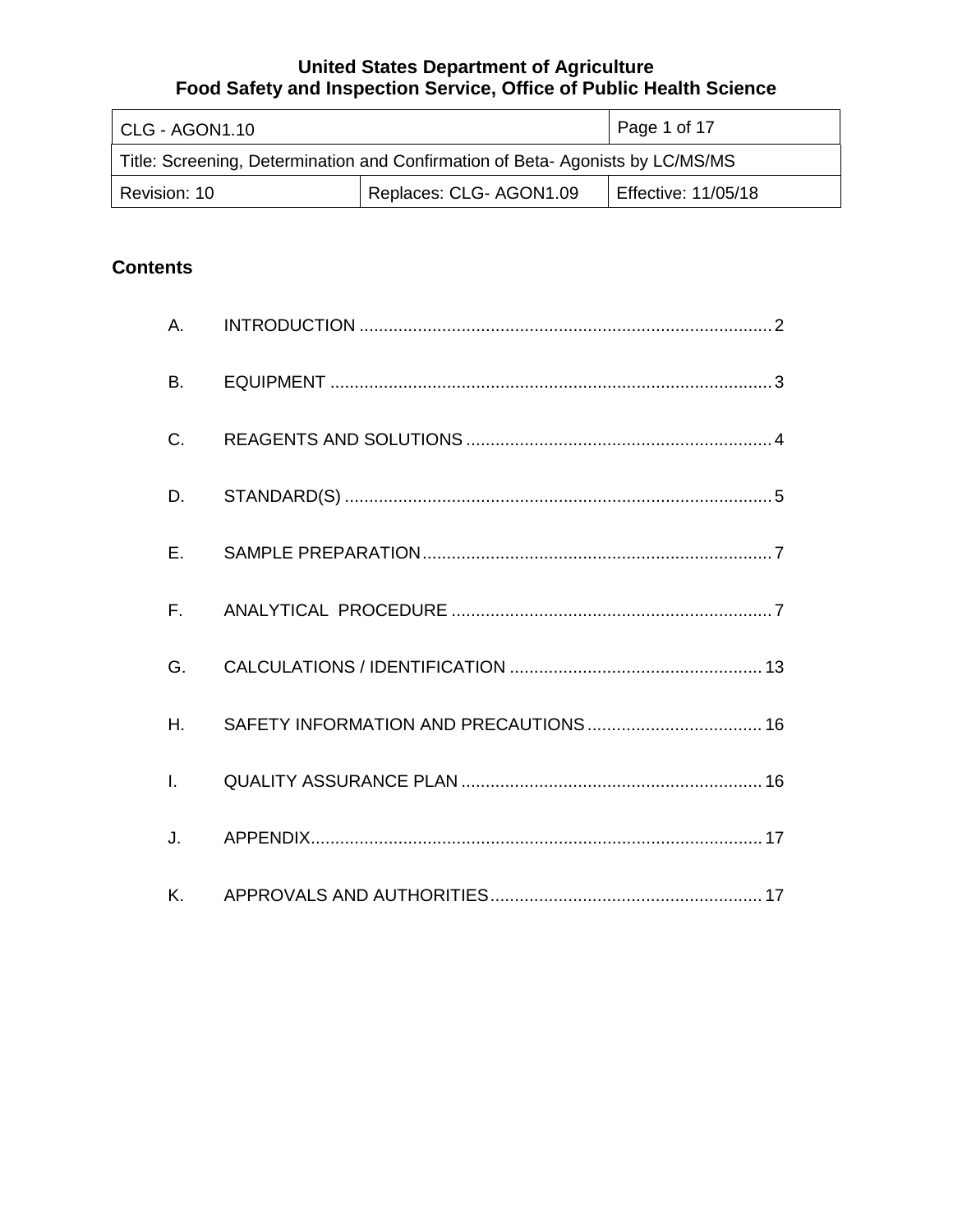| CLG - AGON1.10                                                                | Page 1 of 17        |  |  |  |
|-------------------------------------------------------------------------------|---------------------|--|--|--|
| Title: Screening, Determination and Confirmation of Beta-Agonists by LC/MS/MS |                     |  |  |  |
| Revision: 10                                                                  | Effective: 11/05/18 |  |  |  |

# **Contents**

| A.           |  |
|--------------|--|
| <b>B.</b>    |  |
| C.           |  |
| D.           |  |
| $E_{\rm{r}}$ |  |
| $F_{\rm{H}}$ |  |
| G.           |  |
| $H_{\cdot}$  |  |
| $\mathbf{L}$ |  |
| J.           |  |
| K.           |  |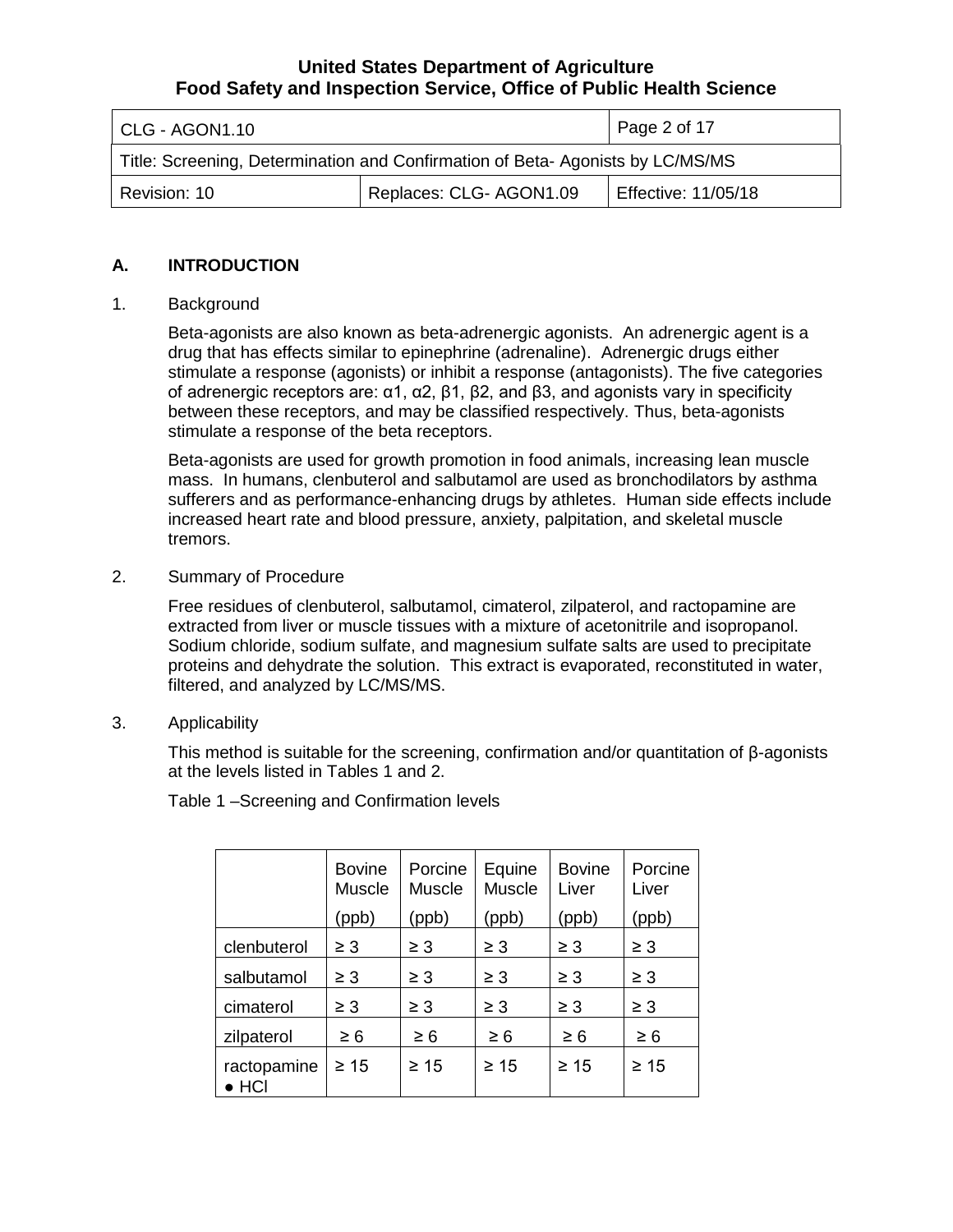| CLG - AGON1.10                                                                | $\vert$ Page 2 of 17       |  |  |  |
|-------------------------------------------------------------------------------|----------------------------|--|--|--|
| Title: Screening, Determination and Confirmation of Beta-Agonists by LC/MS/MS |                            |  |  |  |
| Revision: 10                                                                  | <b>Effective: 11/05/18</b> |  |  |  |

#### **A. INTRODUCTION**

#### 1. Background

 Beta-agonists are also known as beta-adrenergic agonists. An adrenergic agent is a of adrenergic receptors are: α1, α2, β1, β2, and β3, and agonists vary in specificity drug that has effects similar to epinephrine (adrenaline). Adrenergic drugs either stimulate a response (agonists) or inhibit a response (antagonists). The five categories between these receptors, and may be classified respectively. Thus, beta-agonists stimulate a response of the beta receptors.

 Beta-agonists are used for growth promotion in food animals, increasing lean muscle increased heart rate and blood pressure, anxiety, palpitation, and skeletal muscle mass. In humans, clenbuterol and salbutamol are used as bronchodilators by asthma sufferers and as performance-enhancing drugs by athletes. Human side effects include tremors.

2. Summary of Procedure

extracted from liver or muscle tissues with a mixture of acetonitrile and isopropanol. extracted from liver or muscle tissues with a mixture of acetonitrile and isopropanol.<br>Sodium chloride, sodium sulfate, and magnesium sulfate salts are used to precipitate proteins and dehydrate the solution. This extract is evaporated, reconstituted in water, Free residues of clenbuterol, salbutamol, cimaterol, zilpaterol, and ractopamine are filtered, and analyzed by LC/MS/MS.

3. Applicability

This method is suitable for the screening, confirmation and/or quantitation of β-agonists at the levels listed in Tables 1 and 2.

Table 1 –Screening and Confirmation levels

|                              | <b>Bovine</b><br><b>Muscle</b> | Porcine<br>Muscle | Equine<br><b>Muscle</b> | <b>Bovine</b><br>Liver | Porcine<br>Liver |
|------------------------------|--------------------------------|-------------------|-------------------------|------------------------|------------------|
|                              | (ppb)                          | (ppb)             | (ppb)                   | (ppb)                  | (ppb)            |
| clenbuterol                  | $\geq 3$                       | $\geq 3$          | $\geq 3$                | $\geq 3$               | $\geq 3$         |
| salbutamol                   | $\geq 3$                       | $\geq 3$          | $\geq 3$                | $\geq 3$               | $\geq 3$         |
| cimaterol                    | $\geq 3$                       | $\geq 3$          | $\geq 3$                | $\geq 3$               | $\geq 3$         |
| zilpaterol<br>$\geq 6$       |                                | $\geq 6$          | $\geq 6$                | $\geq 6$               | $\geq 6$         |
| ractopamine<br>$\bullet$ HCI | $\geq 15$                      | $\geq 15$         | $\geq 15$               | $\geq 15$              | $\geq 15$        |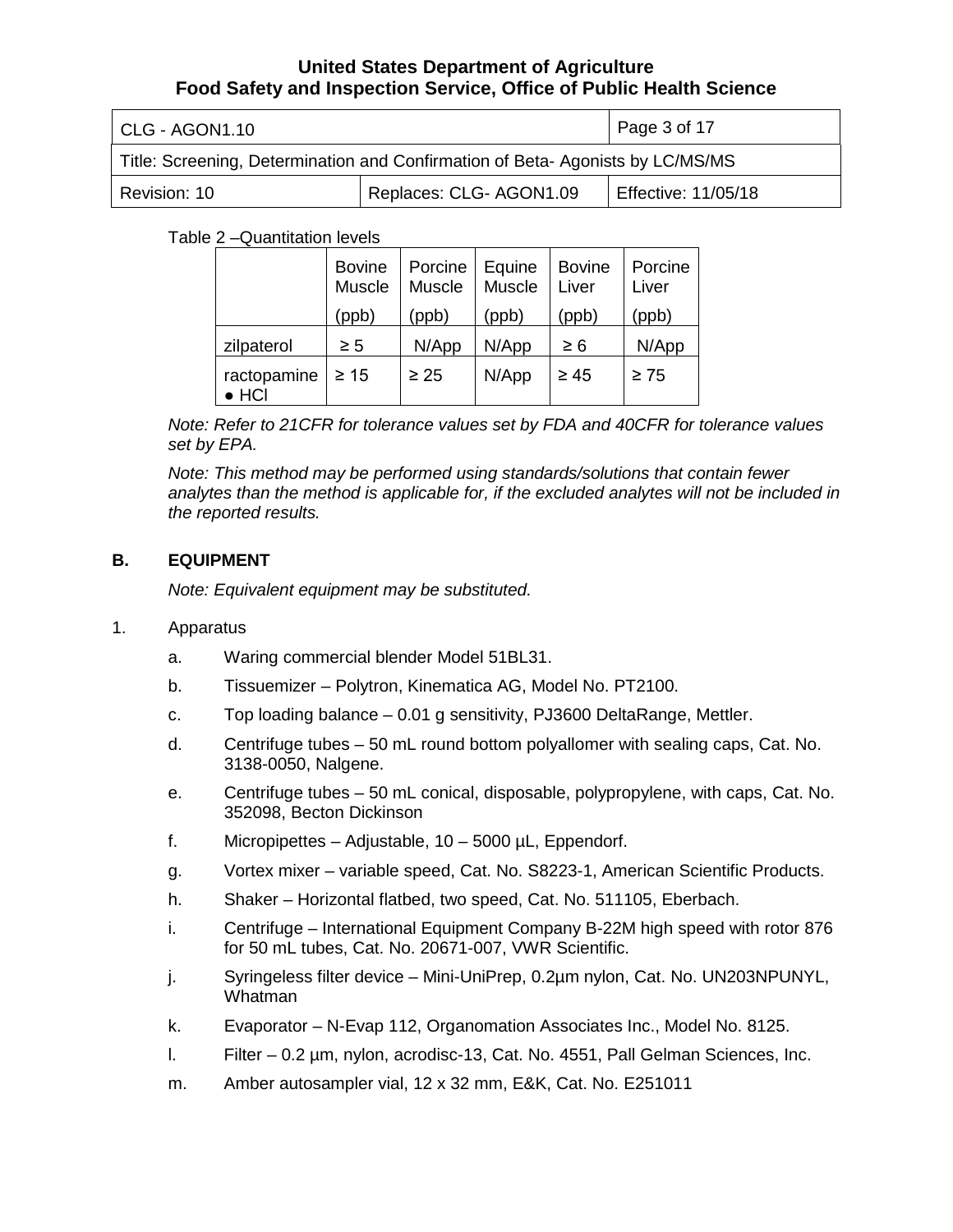| CLG - AGON1.10                                                                | Page 3 of 17        |  |  |  |
|-------------------------------------------------------------------------------|---------------------|--|--|--|
| Title: Screening, Determination and Confirmation of Beta-Agonists by LC/MS/MS |                     |  |  |  |
| Revision: 10                                                                  | Effective: 11/05/18 |  |  |  |

Table 2 –Quantitation levels

|                              | <b>Bovine</b><br>Muscle | Porcine   Equine<br>Muscle | Muscle | <b>Bovine</b><br>Liver | Porcine<br>Liver |
|------------------------------|-------------------------|----------------------------|--------|------------------------|------------------|
|                              | (ppb)                   | (ppb)                      | (ppb)  | (ppb)                  | (ppb)            |
| zilpaterol                   | $\geq 5$                | N/App                      | N/App  | $\geq 6$               | N/App            |
| ractopamine<br>$\bullet$ HCI | $\geq 15$               | $\geq 25$                  | N/App  | $\geq 45$              | $\geq 75$        |

 *Note: Refer to 21CFR for tolerance values set by FDA and 40CFR for tolerance values set by EPA.* 

*Note: This method may be performed using standards/solutions that contain fewer analytes than the method is applicable for, if the excluded analytes will not be included in the reported results.* 

# **B. EQUIPMENT**

*Note: Equivalent equipment may be substituted.* 

#### 1. Apparatus

- Waring commercial blender Model 51BL31.
- a. Waring commercial blender Model 51BL31. b. Tissuemizer Polytron, Kinematica AG, Model No. PT2100.
- c. Top loading balance 0.01 g sensitivity, PJ3600 DeltaRange, Mettler.
- d. Centrifuge tubes 50 mL round bottom polyallomer with sealing caps, Cat. No. 3138-0050, Nalgene.
- e. Centrifuge tubes 50 mL conical, disposable, polypropylene, with caps, Cat. No. 352098, Becton Dickinson
- f. Micropipettes Adjustable, 10 5000 µL, Eppendorf.
- g. Vortex mixer variable speed, Cat. No. S8223-1, American Scientific Products.
- h. Shaker Horizontal flatbed, two speed, Cat. No. 511105, Eberbach.
- i. Centrifuge International Equipment Company B-22M high speed with rotor 876 for 50 mL tubes, Cat. No. 20671-007, VWR Scientific.
- j. Syringeless filter device Mini-UniPrep, 0.2µm nylon, Cat. No. UN203NPUNYL, Whatman
- k. Evaporator N-Evap 112, Organomation Associates Inc., Model No. 8125.
- $\overline{L}$ Filter – 0.2 um, nylon, acrodisc-13, Cat. No. 4551, Pall Gelman Sciences, Inc.
- m. Amber autosampler vial, 12 x 32 mm, E&K, Cat. No. E251011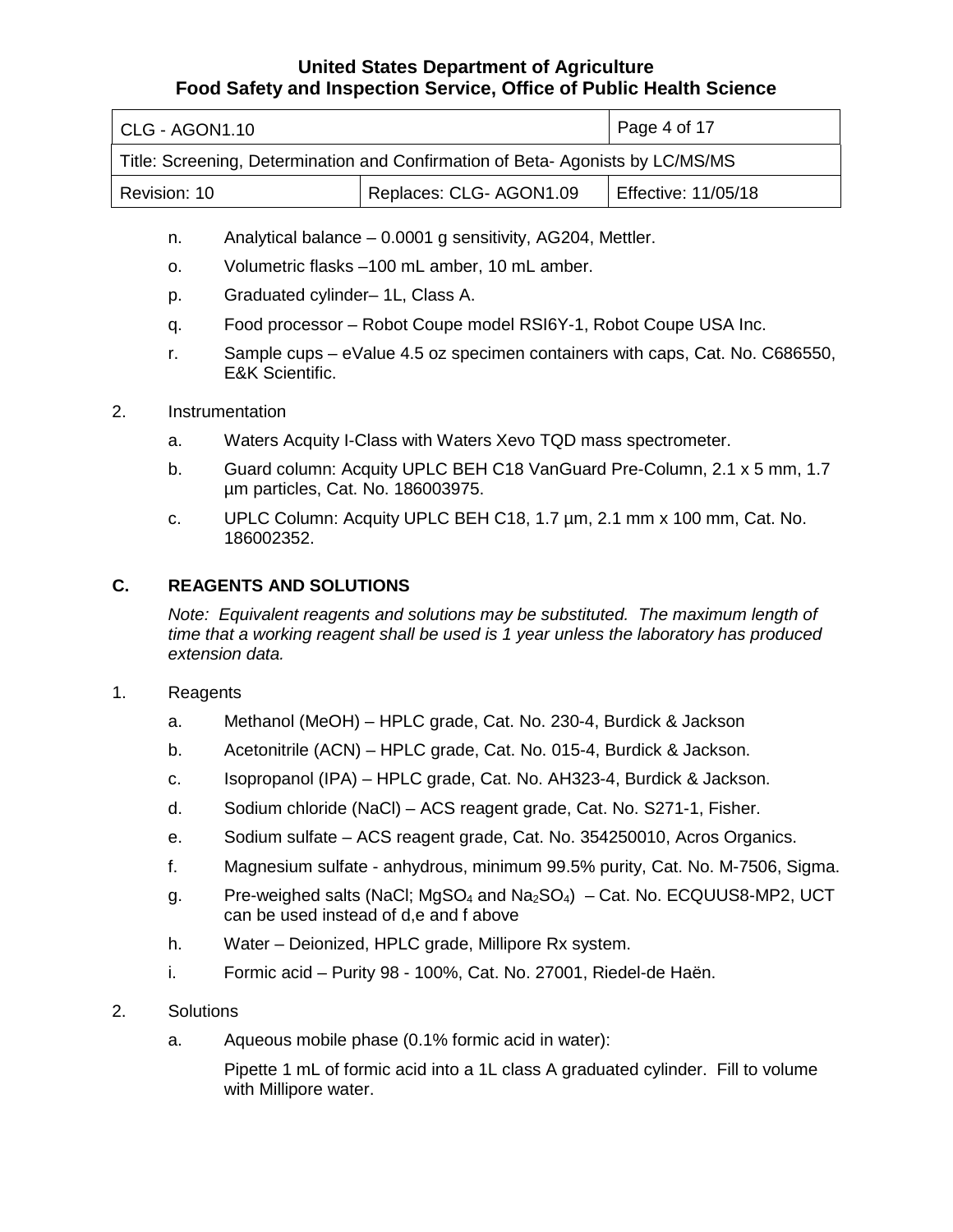| CLG - AGON1.10                                                                | $\vert$ Page 4 of 17       |  |  |  |
|-------------------------------------------------------------------------------|----------------------------|--|--|--|
| Title: Screening, Determination and Confirmation of Beta-Agonists by LC/MS/MS |                            |  |  |  |
| Revision: 10                                                                  | <b>Effective: 11/05/18</b> |  |  |  |

- n. Analytical balance 0.0001 g sensitivity, AG204, Mettler.
- o. Volumetric flasks –100 mL amber, 10 mL amber.
- p. Graduated cylinder– 1L, Class A.
- q. Food processor Robot Coupe model RSI6Y-1, Robot Coupe USA Inc.
- r. Sample cups eValue 4.5 oz specimen containers with caps, Cat. No. C686550, E&K Scientific.
- 2. Instrumentation
	- a. Waters Acquity I-Class with Waters Xevo TQD mass spectrometer.
	- b. Guard column: Acquity UPLC BEH C18 VanGuard Pre-Column, 2.1 x 5 mm, 1.7 µm particles, Cat. No. 186003975.
	- c. UPLC Column: Acquity UPLC BEH C18, 1.7 µm, 2.1 mm x 100 mm, Cat. No. 186002352.

### **C. REAGENTS AND SOLUTIONS**

Note: Equivalent reagents and solutions may be substituted. The maximum length of *time that a working reagent shall be used is 1 year unless the laboratory has produced extension data.* 

#### 1. Reagents

- a. Methanol (MeOH) HPLC grade, Cat. No. 230-4, Burdick & Jackson
- b. Acetonitrile (ACN) HPLC grade, Cat. No. 015-4, Burdick & Jackson.
- c. Isopropanol (IPA) HPLC grade, Cat. No. AH323-4, Burdick & Jackson.
- d. Sodium chloride (NaCl) ACS reagent grade, Cat. No. S271-1, Fisher.
- e. Sodium sulfate ACS reagent grade, Cat. No. 354250010, Acros Organics.
- f. Magnesium sulfate anhydrous, minimum 99.5% purity, Cat. No. M-7506, Sigma.
- g. Pre-weighed salts (NaCl; MgSO<sub>4</sub> and Na<sub>2</sub>SO<sub>4</sub>) Cat. No. ECQUUS8-MP2, UCT can be used instead of d,e and f above
- h. Water Deionized, HPLC grade, Millipore Rx system.
- i. Formic acid Purity 98 100%, Cat. No. 27001, Riedel-de Haën.
- 2. Solutions
	- a. Aqueous mobile phase (0.1% formic acid in water):

 with Millipore water. Pipette 1 mL of formic acid into a 1L class A graduated cylinder. Fill to volume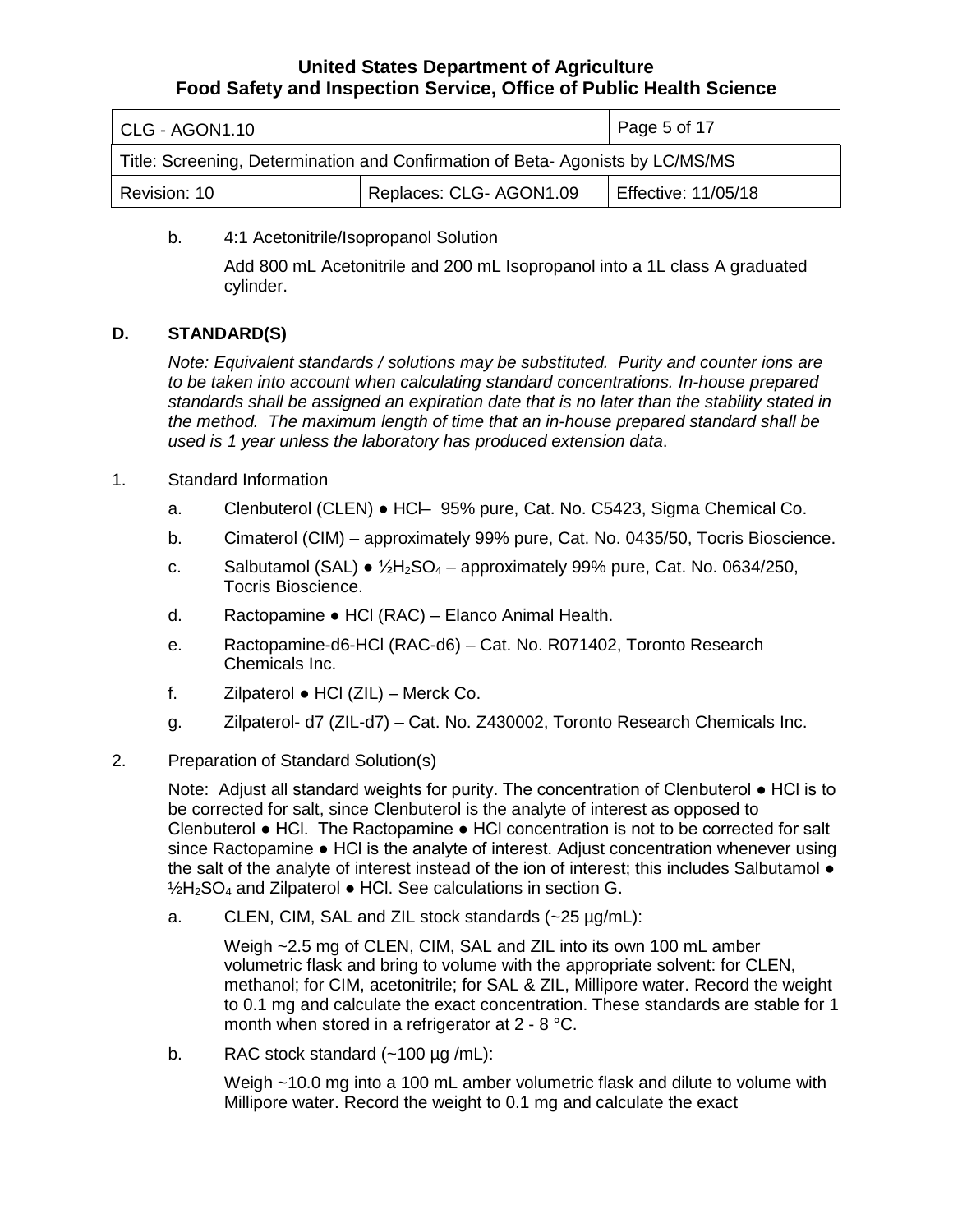| CLG - AGON1.10                                                                | Page 5 of 17               |  |  |  |
|-------------------------------------------------------------------------------|----------------------------|--|--|--|
| Title: Screening, Determination and Confirmation of Beta-Agonists by LC/MS/MS |                            |  |  |  |
| Revision: 10                                                                  | <b>Effective: 11/05/18</b> |  |  |  |

b. 4:1 Acetonitrile/Isopropanol Solution

 Add 800 mL Acetonitrile and 200 mL Isopropanol into a 1L class A graduated cylinder.

### **D. STANDARD(S)**

*Note: Equivalent standards / solutions may be substituted. Purity and counter ions are to be taken into account when calculating standard concentrations. In-house prepared standards shall be assigned an expiration date that is no later than the stability stated in the method. The maximum length of time that an in-house prepared standard shall be used is 1 year unless the laboratory has produced extension data*.

- 1. Standard Information
	- a. Clenbuterol (CLEN) HCl– 95% pure, Cat. No. C5423, Sigma Chemical Co.
	- b. Cimaterol (CIM) approximately 99% pure, Cat. No. 0435/50, Tocris Bioscience.
	- c. Salbutamol (SAL)  $\bullet$  1/<sub>2</sub>H<sub>2</sub>SO<sub>4</sub> approximately 99% pure, Cat. No. 0634/250, Tocris Bioscience.
	- d. Ractopamine HCl (RAC) Elanco Animal Health.
	- Chemicals Inc. e. Ractopamine-d6-HCl (RAC-d6) – Cat. No. R071402, Toronto Research
	- f. Zilpaterol HCl (ZIL) Merck Co.
	- g. Zilpaterol- d7 (ZIL-d7) Cat. No. Z430002, Toronto Research Chemicals Inc.
- 2. Preparation of Standard Solution(s)

 Note: Adjust all standard weights for purity. The concentration of Clenbuterol ● HCl is to be corrected for salt, since Clenbuterol is the analyte of interest as opposed to Clenbuterol ● HCl. The Ractopamine ● HCl concentration is not to be corrected for salt the salt of the analyte of interest instead of the ion of interest; this includes Salbutamol ● since Ractopamine ● HCl is the analyte of interest. Adjust concentration whenever using  $1/2H_2SO_4$  and Zilpaterol  $\bullet$  HCl. See calculations in section G.

a. CLEN, CIM, SAL and ZIL stock standards  $(-25 \mu g/mL)$ :

 volumetric flask and bring to volume with the appropriate solvent: for CLEN, methanol; for CIM, acetonitrile; for SAL & ZIL, Millipore water. Record the weight month when stored in a refrigerator at 2 - 8 °C. Weigh ~2.5 mg of CLEN, CIM, SAL and ZIL into its own 100 mL amber to 0.1 mg and calculate the exact concentration. These standards are stable for 1

b. RAC stock standard (~100 µg /mL):

Weigh ~10.0 mg into a 100 mL amber volumetric flask and dilute to volume with Millipore water. Record the weight to 0.1 mg and calculate the exact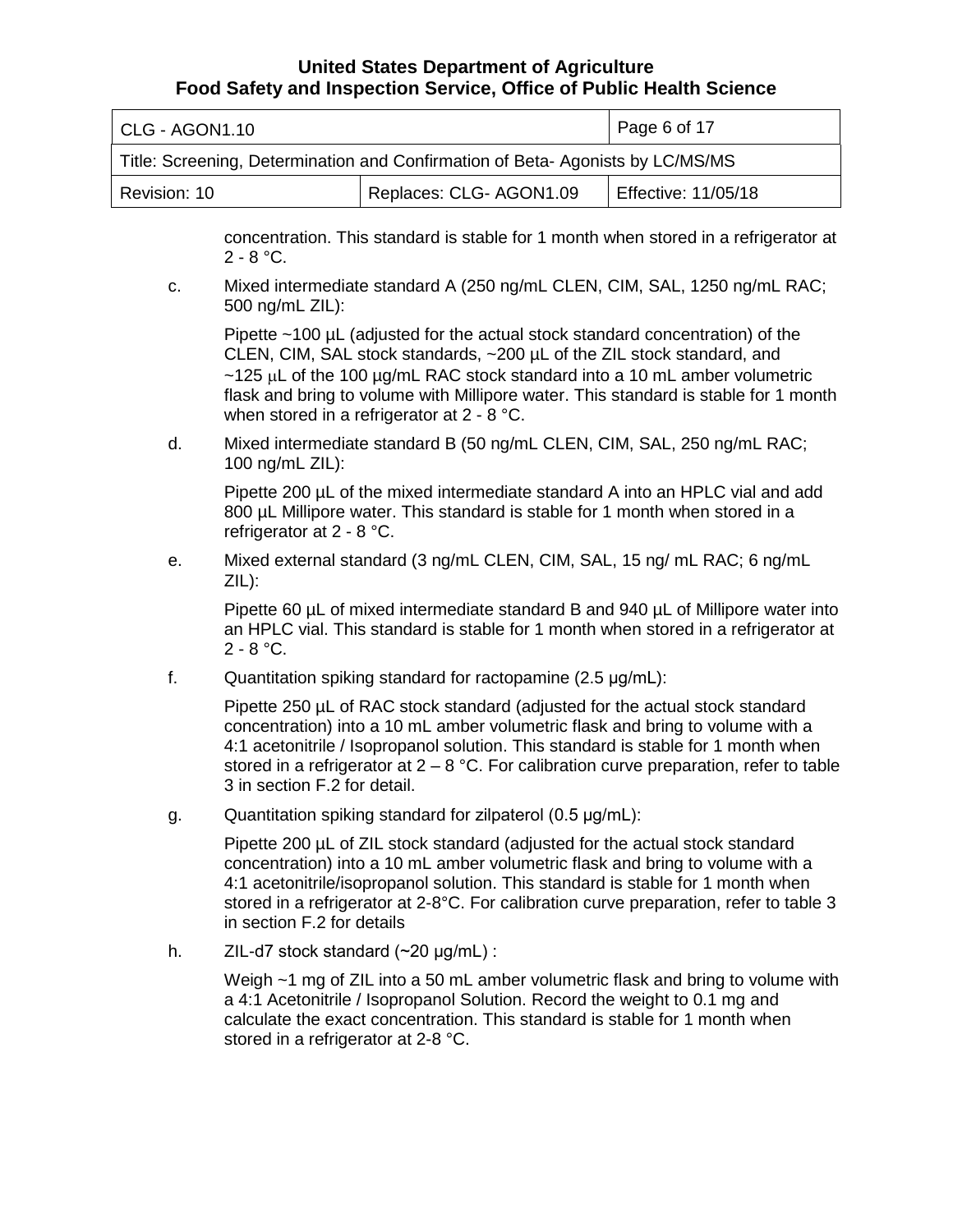| CLG - AGON1.10                                                                | Page 6 of 17               |  |  |  |
|-------------------------------------------------------------------------------|----------------------------|--|--|--|
| Title: Screening, Determination and Confirmation of Beta-Agonists by LC/MS/MS |                            |  |  |  |
| Revision: 10                                                                  | <b>Effective: 11/05/18</b> |  |  |  |

 2 - 8 °C. concentration. This standard is stable for 1 month when stored in a refrigerator at

c. Mixed intermediate standard A (250 ng/mL CLEN, CIM, SAL, 1250 ng/mL RAC; 500 ng/mL ZIL):

 CLEN, CIM, SAL stock standards, ~200 µL of the ZIL stock standard, and when stored in a refrigerator at 2 - 8 °C. Pipette ~100 µL (adjusted for the actual stock standard concentration) of the  $\sim$ 125 µL of the 100 µg/mL RAC stock standard into a 10 mL amber volumetric flask and bring to volume with Millipore water. This standard is stable for 1 month

d. Mixed intermediate standard B (50 ng/mL CLEN, CIM, SAL, 250 ng/mL RAC; 100 ng/mL ZIL):

 Pipette 200 µL of the mixed intermediate standard A into an HPLC vial and add 800 µL Millipore water. This standard is stable for 1 month when stored in a refrigerator at 2 - 8 °C.

e. Mixed external standard (3 ng/mL CLEN, CIM, SAL, 15 ng/ mL RAC; 6 ng/mL ZIL):

 Pipette 60 µL of mixed intermediate standard B and 940 µL of Millipore water into an HPLC vial. This standard is stable for 1 month when stored in a refrigerator at 2 - 8 °C.

f. Quantitation spiking standard for ractopamine (2.5 μg/mL):

Pipette 250 µL of RAC stock standard (adjusted for the actual stock standard concentration) into a 10 mL amber volumetric flask and bring to volume with a 4:1 acetonitrile / Isopropanol solution. This standard is stable for 1 month when stored in a refrigerator at  $2 - 8$  °C. For calibration curve preparation, refer to table 3 in section F.2 for detail.

g. Quantitation spiking standard for zilpaterol (0.5 μg/mL):

 stored in a refrigerator at 2-8°C. For calibration curve preparation, refer to table 3 Pipette 200 µL of ZIL stock standard (adjusted for the actual stock standard concentration) into a 10 mL amber volumetric flask and bring to volume with a 4:1 acetonitrile/isopropanol solution. This standard is stable for 1 month when in section F.2 for details

h. ZIL-d7 stock standard (~20 μg/mL) :

 a 4:1 Acetonitrile / Isopropanol Solution. Record the weight to 0.1 mg and Weigh  $\sim$ 1 mg of ZIL into a 50 mL amber volumetric flask and bring to volume with calculate the exact concentration. This standard is stable for 1 month when stored in a refrigerator at 2-8 °C.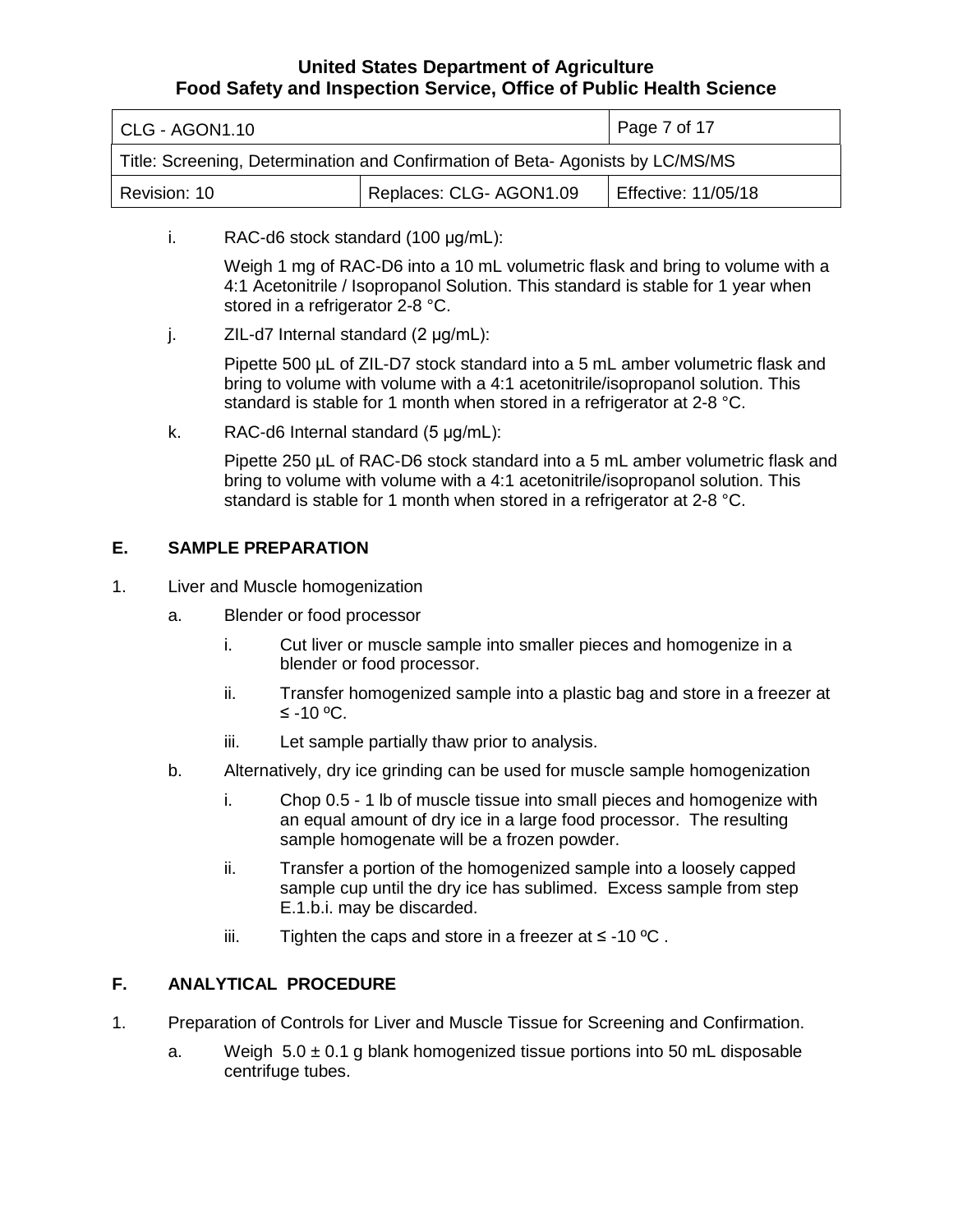| CLG - AGON1.10                                                                 | Page 7 of 17               |  |  |  |
|--------------------------------------------------------------------------------|----------------------------|--|--|--|
| Title: Screening, Determination and Confirmation of Beta- Agonists by LC/MS/MS |                            |  |  |  |
| Revision: 10                                                                   | <b>Effective: 11/05/18</b> |  |  |  |

i. RAC-d6 stock standard (100 μg/mL):

 stored in a refrigerator 2-8 °C. Weigh 1 mg of RAC-D6 into a 10 mL volumetric flask and bring to volume with a 4:1 Acetonitrile / Isopropanol Solution. This standard is stable for 1 year when

j. ZIL-d7 Internal standard (2 μg/mL):

 bring to volume with volume with a 4:1 acetonitrile/isopropanol solution. This Pipette 500 µL of ZIL-D7 stock standard into a 5 mL amber volumetric flask and standard is stable for 1 month when stored in a refrigerator at 2-8 °C.

k. RAC-d6 Internal standard (5 μg/mL):

 bring to volume with volume with a 4:1 acetonitrile/isopropanol solution. This Pipette 250 µL of RAC-D6 stock standard into a 5 mL amber volumetric flask and standard is stable for 1 month when stored in a refrigerator at 2-8 °C.

# **E. SAMPLE PREPARATION**

- 1. Liver and Muscle homogenization
	- a. Blender or food processor
		- i. Cut liver or muscle sample into smaller pieces and homogenize in a blender or food processor.
		- ii. Transfer homogenized sample into a plastic bag and store in a freezer at ≤ -10 ºC.
		- iii. Let sample partially thaw prior to analysis.
	- b. Alternatively, dry ice grinding can be used for muscle sample homogenization
		- an equal amount of dry ice in a large food processor. The resulting i. Chop 0.5 - 1 lb of muscle tissue into small pieces and homogenize with sample homogenate will be a frozen powder.
		- ii. Transfer a portion of the homogenized sample into a loosely capped sample cup until the dry ice has sublimed. Excess sample from step E.1.b.i. may be discarded.
		- iii. Tighten the caps and store in a freezer at ≤ -10  $°C$  .

# **F. ANALYTICAL PROCEDURE**

- 1. Preparation of Controls for Liver and Muscle Tissue for Screening and Confirmation.
	- a. Weigh 5.0 ± 0.1 g blank homogenized tissue portions into 50 mL disposable centrifuge tubes.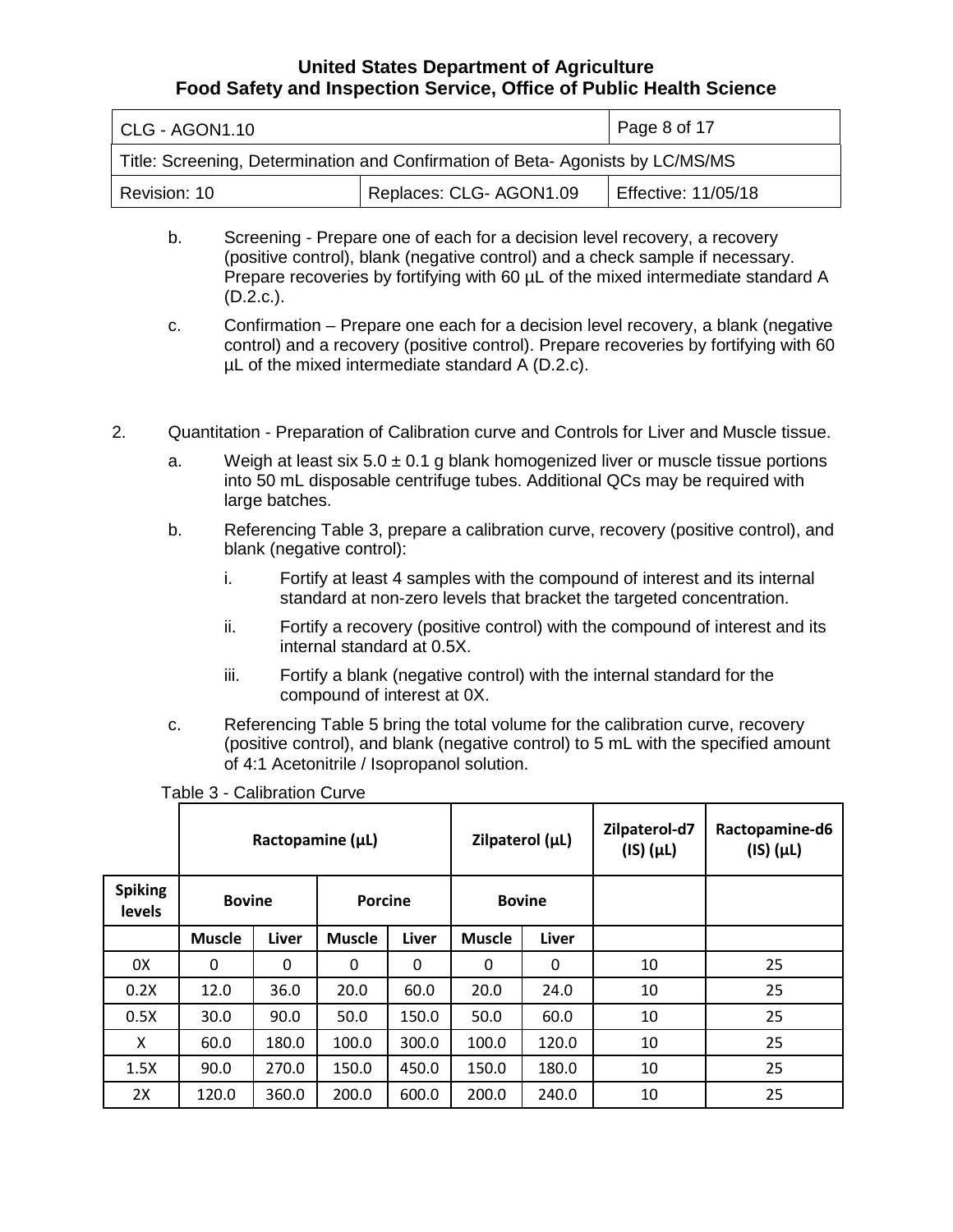| CLG - AGON1.10                                                                | Page 8 of 17               |  |  |  |
|-------------------------------------------------------------------------------|----------------------------|--|--|--|
| Title: Screening, Determination and Confirmation of Beta-Agonists by LC/MS/MS |                            |  |  |  |
| Revision: 10                                                                  | <b>Effective: 11/05/18</b> |  |  |  |

- (positive control), blank (negative control) and a check sample if necessary. b. Screening - Prepare one of each for a decision level recovery, a recovery Prepare recoveries by fortifying with 60  $\mu$ L of the mixed intermediate standard A  $(D.2.c.).$
- c. Confirmation Prepare one each for a decision level recovery, a blank (negative control) and a recovery (positive control). Prepare recoveries by fortifying with 60 µL of the mixed intermediate standard A (D.2.c).
- 2. Quantitation Preparation of Calibration curve and Controls for Liver and Muscle tissue.
	- a. large batches. Weigh at least six  $5.0 \pm 0.1$  g blank homogenized liver or muscle tissue portions into 50 mL disposable centrifuge tubes. Additional QCs may be required with
	- b. Referencing Table 3, prepare a calibration curve, recovery (positive control), and blank (negative control):
		- i. Fortify at least 4 samples with the compound of interest and its internal standard at non-zero levels that bracket the targeted concentration.
		- ii. Fortify a recovery (positive control) with the compound of interest and its internal standard at 0.5X.
		- iii. Fortify a blank (negative control) with the internal standard for the compound of interest at 0X.
	- c. Referencing Table 5 bring the total volume for the calibration curve, recovery (positive control), and blank (negative control) to 5 mL with the specified amount of 4:1 Acetonitrile / Isopropanol solution.

|                                 | Ractopamine $(\mu L)$ |       |               | Zilpaterol (µL) |               | Zilpaterol-d7<br>$(IS)(\mu L)$ | Ractopamine-d6<br>$(IS)(\mu L)$ |    |
|---------------------------------|-----------------------|-------|---------------|-----------------|---------------|--------------------------------|---------------------------------|----|
| <b>Spiking</b><br><b>levels</b> | <b>Bovine</b>         |       | Porcine       |                 | <b>Bovine</b> |                                |                                 |    |
|                                 | <b>Muscle</b>         | Liver | <b>Muscle</b> | <b>Liver</b>    | <b>Muscle</b> | Liver                          |                                 |    |
| 0X                              | 0                     | 0     | 0             | 0               | 0             | 0                              | 10                              | 25 |
| 0.2X                            | 12.0                  | 36.0  | 20.0          | 60.0            | 20.0          | 24.0                           | 10                              | 25 |
| 0.5X                            | 30.0                  | 90.0  | 50.0          | 150.0           | 50.0          | 60.0                           | 10                              | 25 |
| X                               | 60.0                  | 180.0 | 100.0         | 300.0           | 100.0         | 120.0                          | 10                              | 25 |
| 1.5X                            | 90.0                  | 270.0 | 150.0         | 450.0           | 150.0         | 180.0                          | 10                              | 25 |
| 2X                              | 120.0                 | 360.0 | 200.0         | 600.0           | 200.0         | 240.0                          | 10                              | 25 |

Table 3 - Calibration Curve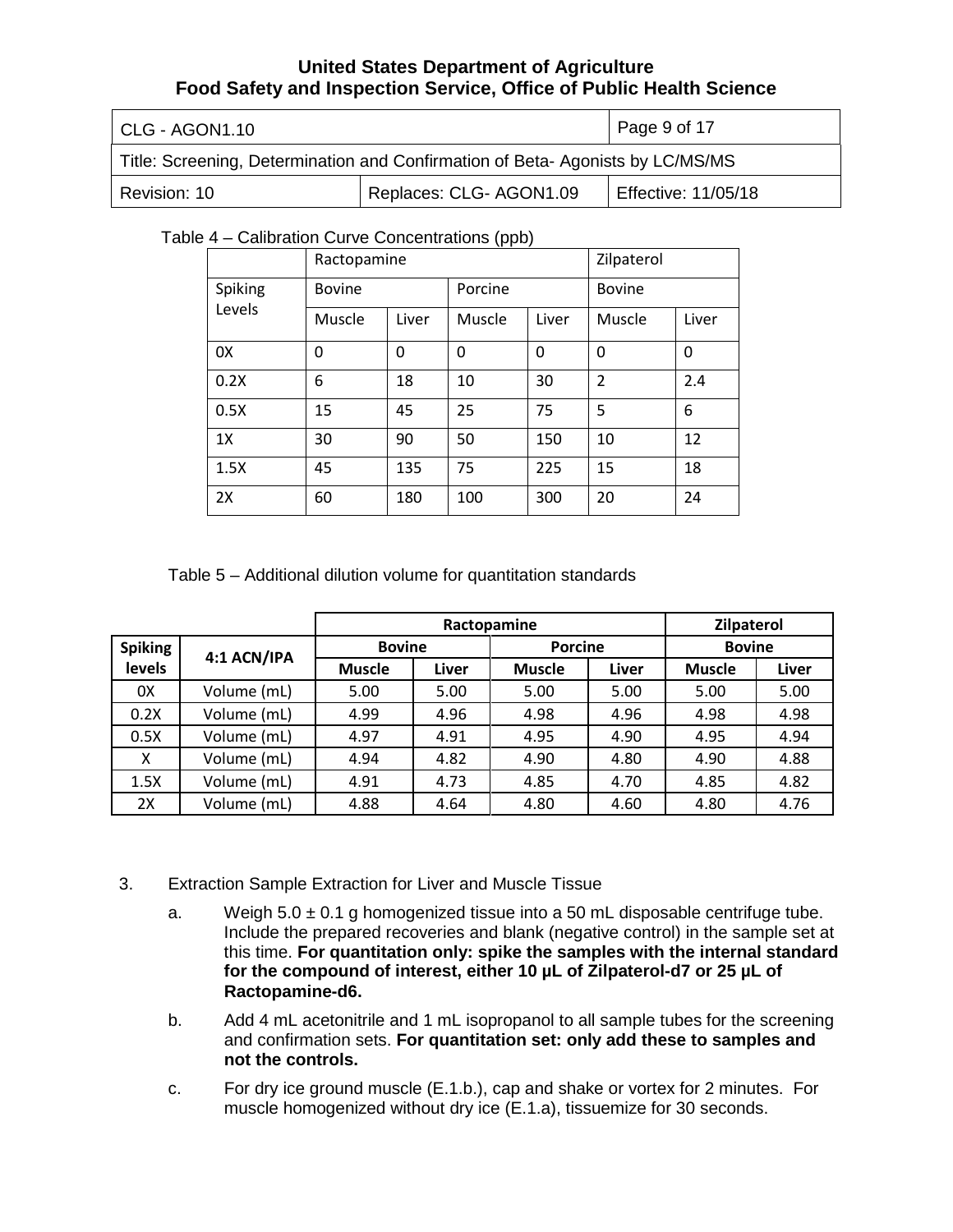| CLG - AGON1.10                                                                | Page 9 of 17            |                     |
|-------------------------------------------------------------------------------|-------------------------|---------------------|
| Title: Screening, Determination and Confirmation of Beta-Agonists by LC/MS/MS |                         |                     |
| Revision: 10                                                                  | Replaces: CLG- AGON1.09 | Effective: 11/05/18 |

#### Table 4 – Calibration Curve Concentrations (ppb)

|         | Ractopamine   |       |         |       | Zilpaterol     |       |
|---------|---------------|-------|---------|-------|----------------|-------|
| Spiking | <b>Bovine</b> |       | Porcine |       | <b>Bovine</b>  |       |
| Levels  | Muscle        | Liver | Muscle  | Liver | Muscle         | Liver |
| 0X      | 0             | 0     | 0       | 0     | $\mathbf 0$    | 0     |
| 0.2X    | 6             | 18    | 10      | 30    | $\overline{2}$ | 2.4   |
| 0.5X    | 15            | 45    | 25      | 75    | 5              | 6     |
| 1X      | 30            | 90    | 50      | 150   | 10             | 12    |
| 1.5X    | 45            | 135   | 75      | 225   | 15             | 18    |
| 2X      | 60            | 180   | 100     | 300   | 20             | 24    |

Table 5 – Additional dilution volume for quantitation standards

|                |             | Ractopamine   |       |                | Zilpaterol |               |       |
|----------------|-------------|---------------|-------|----------------|------------|---------------|-------|
| <b>Spiking</b> | 4:1 ACN/IPA | <b>Bovine</b> |       | <b>Porcine</b> |            | <b>Bovine</b> |       |
| levels         |             | <b>Muscle</b> | Liver | <b>Muscle</b>  | Liver      | <b>Muscle</b> | Liver |
| 0X             | Volume (mL) | 5.00          | 5.00  | 5.00           | 5.00       | 5.00          | 5.00  |
| 0.2X           | Volume (mL) | 4.99          | 4.96  | 4.98           | 4.96       | 4.98          | 4.98  |
| 0.5X           | Volume (mL) | 4.97          | 4.91  | 4.95           | 4.90       | 4.95          | 4.94  |
| X              | Volume (mL) | 4.94          | 4.82  | 4.90           | 4.80       | 4.90          | 4.88  |
| 1.5X           | Volume (mL) | 4.91          | 4.73  | 4.85           | 4.70       | 4.85          | 4.82  |
| 2X             | Volume (mL) | 4.88          | 4.64  | 4.80           | 4.60       | 4.80          | 4.76  |

- 3. Extraction Sample Extraction for Liver and Muscle Tissue
	- a. Weigh 5.0 ± 0.1 g homogenized tissue into a 50 mL disposable centrifuge tube. Include the prepared recoveries and blank (negative control) in the sample set at  **for the compound of interest, either 10 µL of Zilpaterol-d7 or 25 µL of Ractopamine-d6.** this time. **For quantitation only: spike the samples with the internal standard**
	- b. Add 4 mL acetonitrile and 1 mL isopropanol to all sample tubes for the screening and confirmation sets. **For quantitation set: only add these to samples and not the controls.**
	- c. For dry ice ground muscle (E.1.b.), cap and shake or vortex for 2 minutes. For muscle homogenized without dry ice (E.1.a), tissuemize for 30 seconds.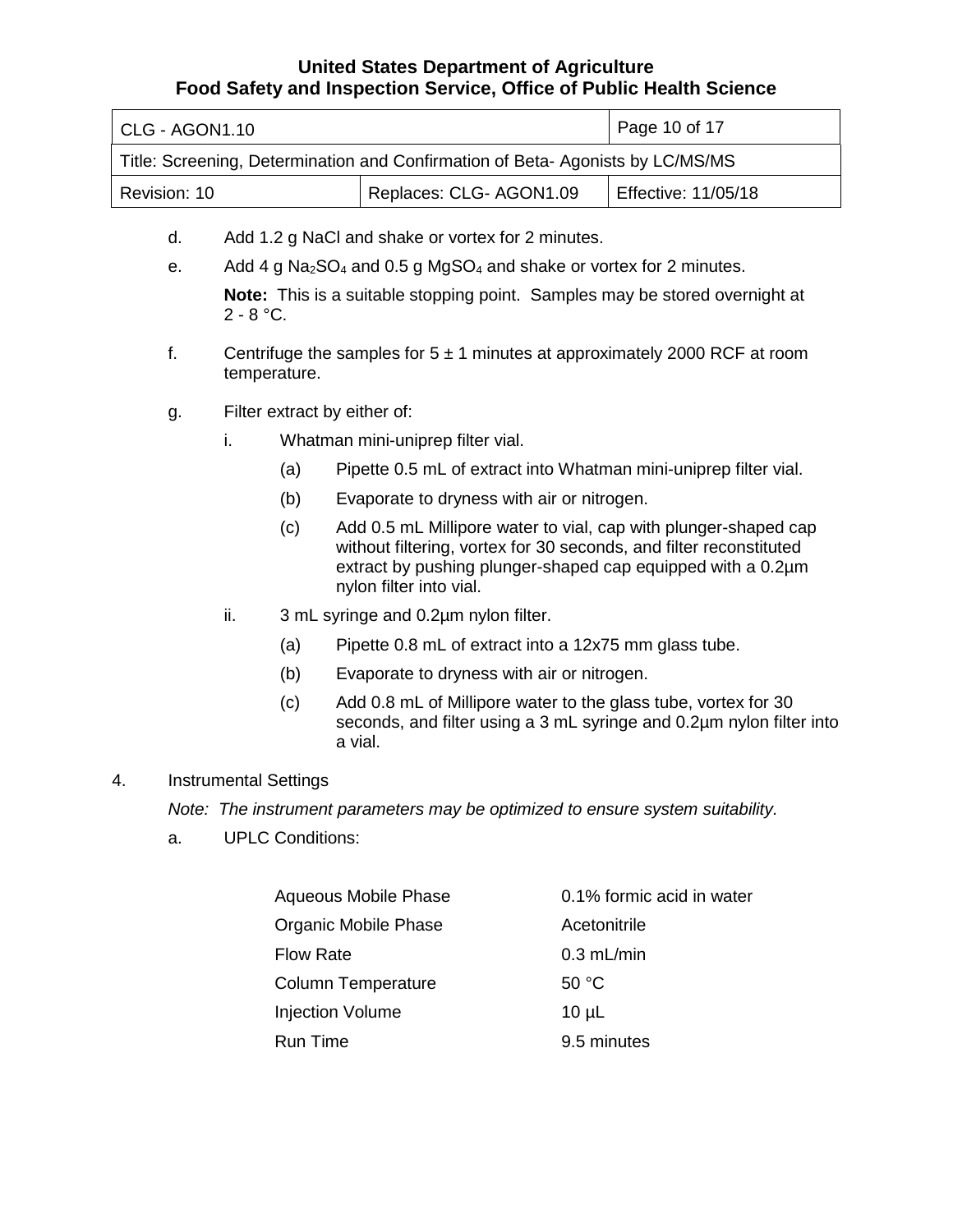| l CLG - AGON1.10                                                              | Page 10 of 17          |                     |
|-------------------------------------------------------------------------------|------------------------|---------------------|
| Title: Screening, Determination and Confirmation of Beta-Agonists by LC/MS/MS |                        |                     |
| Revision: 10                                                                  | Replaces: CLG-AGON1.09 | Effective: 11/05/18 |

- d. Add 1.2 g NaCl and shake or vortex for 2 minutes.
- e. Add 4 g Na<sub>2</sub>SO<sub>4</sub> and 0.5 g MgSO<sub>4</sub> and shake or vortex for 2 minutes.

 **Note:** This is a suitable stopping point. Samples may be stored overnight at 2 - 8 °C.

- f. Centrifuge the samples for  $5 \pm 1$  minutes at approximately 2000 RCF at room temperature.
- g. Filter extract by either of:
	- i. Whatman mini-uniprep filter vial.
		- (a) Pipette 0.5 mL of extract into Whatman mini-uniprep filter vial.
		- (b) Evaporate to dryness with air or nitrogen.
		- without filtering, vortex for 30 seconds, and filter reconstituted nylon filter into vial. (c) Add 0.5 mL Millipore water to vial, cap with plunger-shaped cap extract by pushing plunger-shaped cap equipped with a 0.2µm
	- ii. 3 mL syringe and 0.2µm nylon filter.
		- (a) Pipette 0.8 mL of extract into a 12x75 mm glass tube.
		- (b) Evaporate to dryness with air or nitrogen.
		- (c) Add 0.8 mL of Millipore water to the glass tube, vortex for 30 seconds, and filter using a 3 mL syringe and 0.2um nylon filter into a vial.

#### 4. Instrumental Settings

*Note: The instrument parameters may be optimized to ensure system suitability.* 

a. UPLC Conditions:

| Aqueous Mobile Phase      | 0.1% formic acid in water |
|---------------------------|---------------------------|
| Organic Mobile Phase      | Acetonitrile              |
| <b>Flow Rate</b>          | $0.3$ mL/min              |
| <b>Column Temperature</b> | 50 °C                     |
| <b>Injection Volume</b>   | $10 \mu L$                |
| <b>Run Time</b>           | 9.5 minutes               |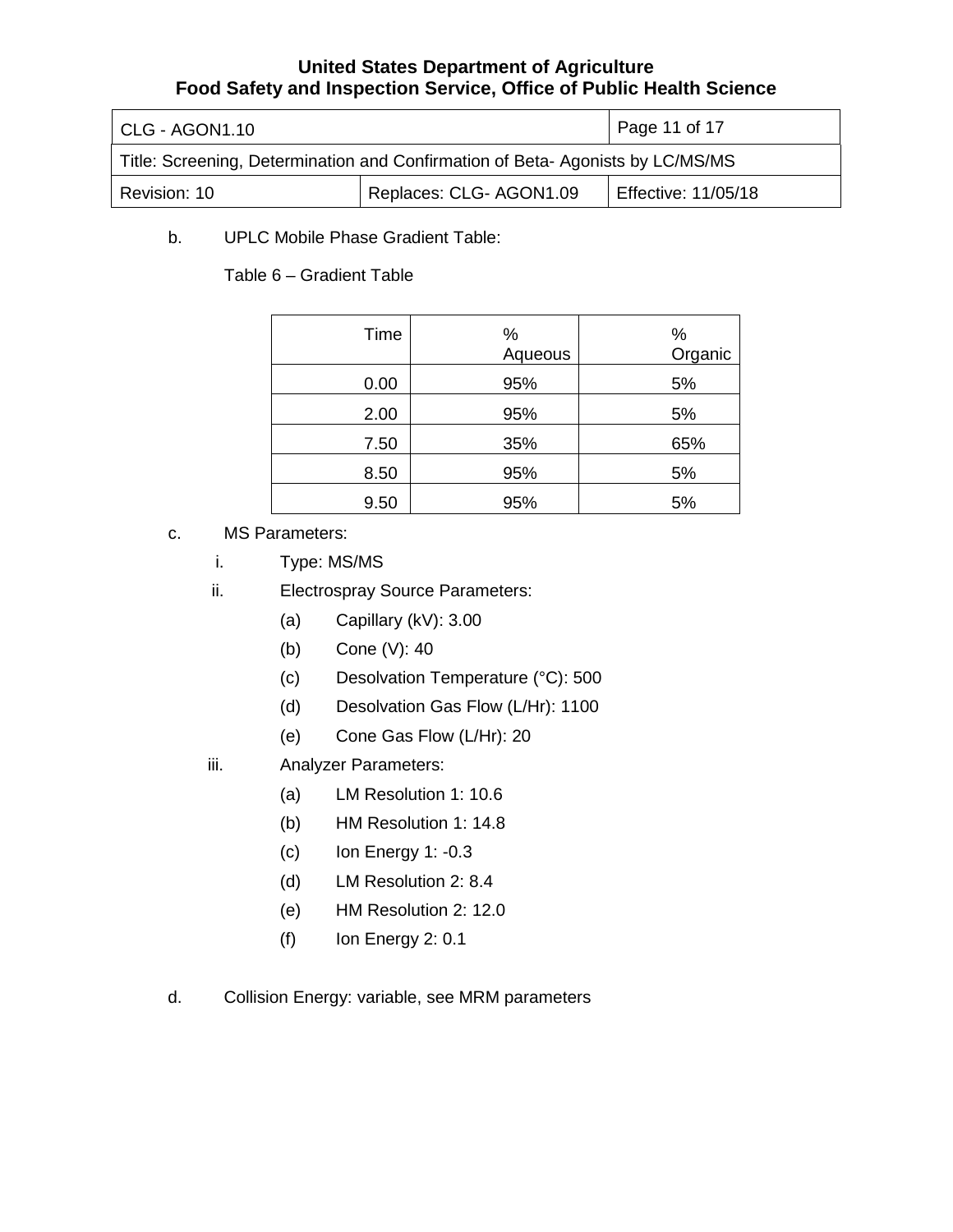| CLG - AGON1.10                                                                | Page 11 of 17           |                            |
|-------------------------------------------------------------------------------|-------------------------|----------------------------|
| Title: Screening, Determination and Confirmation of Beta-Agonists by LC/MS/MS |                         |                            |
| Revision: 10                                                                  | Replaces: CLG- AGON1.09 | <b>Effective: 11/05/18</b> |

b. UPLC Mobile Phase Gradient Table:

Table 6 – Gradient Table

| Time | ℅<br>Aqueous | $\%$<br>Organic |
|------|--------------|-----------------|
| 0.00 | 95%          | 5%              |
| 2.00 | 95%          | 5%              |
| 7.50 | 35%          | 65%             |
| 8.50 | 95%          | 5%              |
| 9.50 | 95%          | 5%              |

- c. MS Parameters:
	- i. Type: MS/MS
	- ii. Electrospray Source Parameters:
		- (a) Capillary (kV): 3.00
		- (b) Cone (V): 40
		- (c) Desolvation Temperature (°C): 500
		- (d) Desolvation Gas Flow (L/Hr): 1100
		- (e) Cone Gas Flow (L/Hr): 20
	- iii. Analyzer Parameters:
		- (a) LM Resolution 1: 10.6
		- (b) HM Resolution 1: 14.8
		- $(c)$  Ion Energy 1: -0.3
		- (d) LM Resolution 2: 8.4
		- (e) HM Resolution 2: 12.0
		- $(f)$  Ion Energy 2: 0.1
- d. Collision Energy: variable, see MRM parameters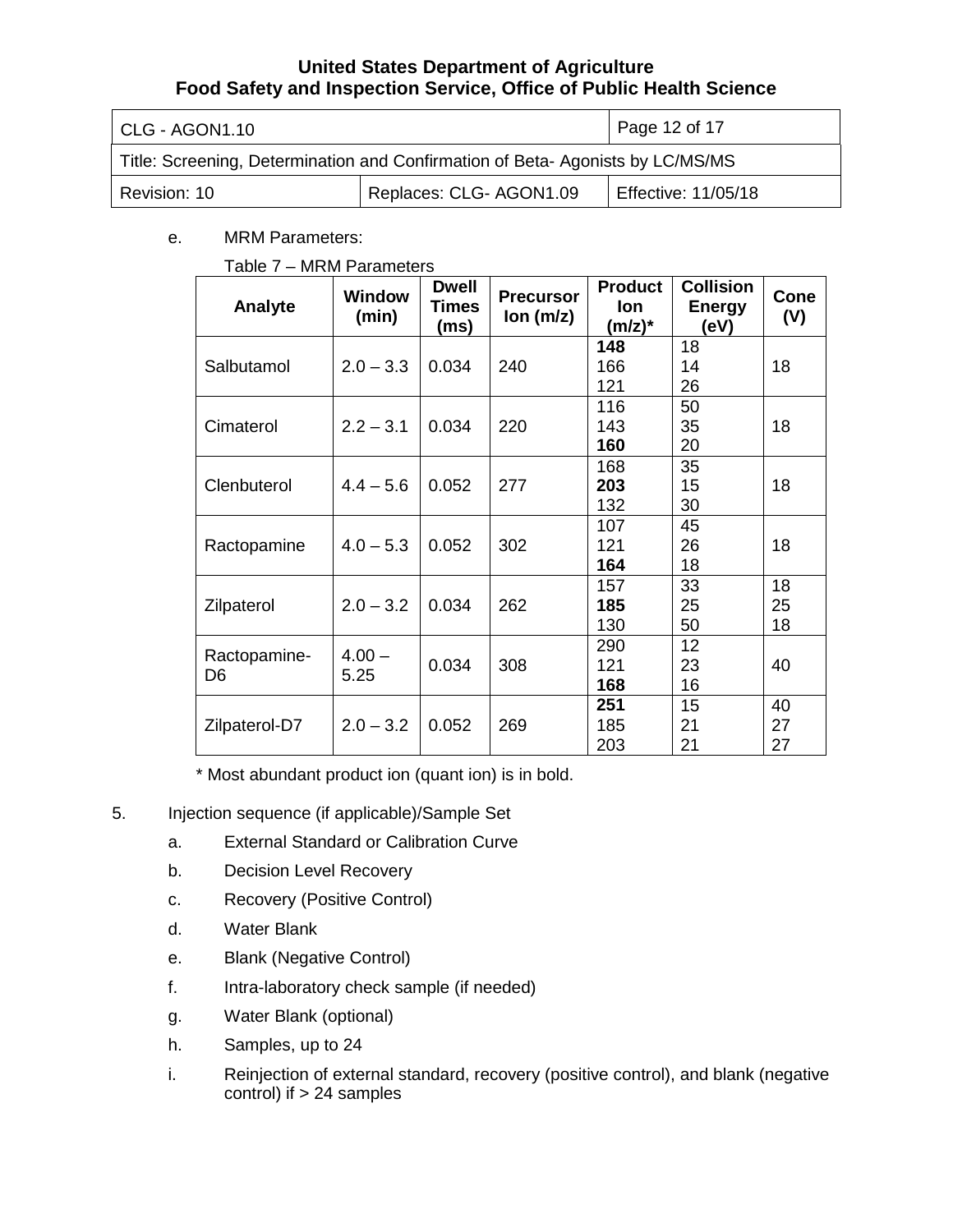| CLG - AGON1.10                                                                | Page 12 of 17          |                     |
|-------------------------------------------------------------------------------|------------------------|---------------------|
| Title: Screening, Determination and Confirmation of Beta-Agonists by LC/MS/MS |                        |                     |
| Revision: 10                                                                  | Replaces: CLG-AGON1.09 | Effective: 11/05/18 |

### e. MRM Parameters:

#### Table 7 – MRM Parameters

| Analyte       | <b>Window</b><br>(min) | <b>Dwell</b><br>Times<br>(ms) | <b>Precursor</b><br>lon (m/z) | <b>Product</b><br>lon.<br>$(m/z)^*$ | <b>Collision</b><br><b>Energy</b><br>(eV) | <b>Cone</b><br>(V) |
|---------------|------------------------|-------------------------------|-------------------------------|-------------------------------------|-------------------------------------------|--------------------|
|               |                        |                               |                               | 148                                 | 18                                        |                    |
| Salbutamol    | $2.0 - 3.3$            | 0.034                         | 240                           | 166                                 | 14                                        | 18                 |
|               |                        |                               |                               | 121                                 | 26                                        |                    |
|               |                        |                               |                               | 116                                 | 50                                        |                    |
| Cimaterol     | $2.2 - 3.1$            | 0.034                         | 220                           | 143                                 | 35                                        | 18                 |
|               |                        |                               |                               | 160                                 | 20                                        |                    |
|               |                        |                               |                               | 168                                 | 35                                        |                    |
| Clenbuterol   | $4.4 - 5.6$            | 0.052                         | 277                           | 203                                 | 15                                        | 18                 |
|               |                        |                               |                               | 132                                 | 30                                        |                    |
|               |                        |                               |                               | 107                                 | 45                                        |                    |
| Ractopamine   | $4.0 - 5.3$            | 0.052                         | 302                           | 121                                 | 26                                        | 18                 |
|               |                        |                               |                               | 164                                 | 18                                        |                    |
|               |                        |                               |                               | 157                                 | 33                                        | 18                 |
| Zilpaterol    | $2.0 - 3.2$            | 0.034                         | 262                           | 185                                 | 25                                        | 25                 |
|               |                        |                               |                               | 130                                 | 50                                        | 18                 |
|               |                        |                               |                               | 290                                 | 12                                        |                    |
| Ractopamine-  | $4.00 -$               | 0.034                         | 308                           | 121                                 | 23                                        | 40                 |
| D6            | 5.25                   |                               |                               | 168                                 | 16                                        |                    |
|               |                        |                               |                               | 251                                 | 15                                        | 40                 |
| Zilpaterol-D7 | $2.0 - 3.2$            | 0.052                         | 269                           | 185                                 | 21                                        | 27                 |
|               |                        |                               |                               | 203                                 | 21                                        | 27                 |

\* Most abundant product ion (quant ion) is in bold.

- 5. Injection sequence (if applicable)/Sample Set
	- a. External Standard or Calibration Curve
	- b. Decision Level Recovery
	- c. Recovery (Positive Control)
	- d. Water Blank
	- e. Blank (Negative Control)
	- f. Intra-laboratory check sample (if needed)
	- g. Water Blank (optional)
	- h. Samples, up to 24
	- i. Reinjection of external standard, recovery (positive control), and blank (negative control) if  $> 24$  samples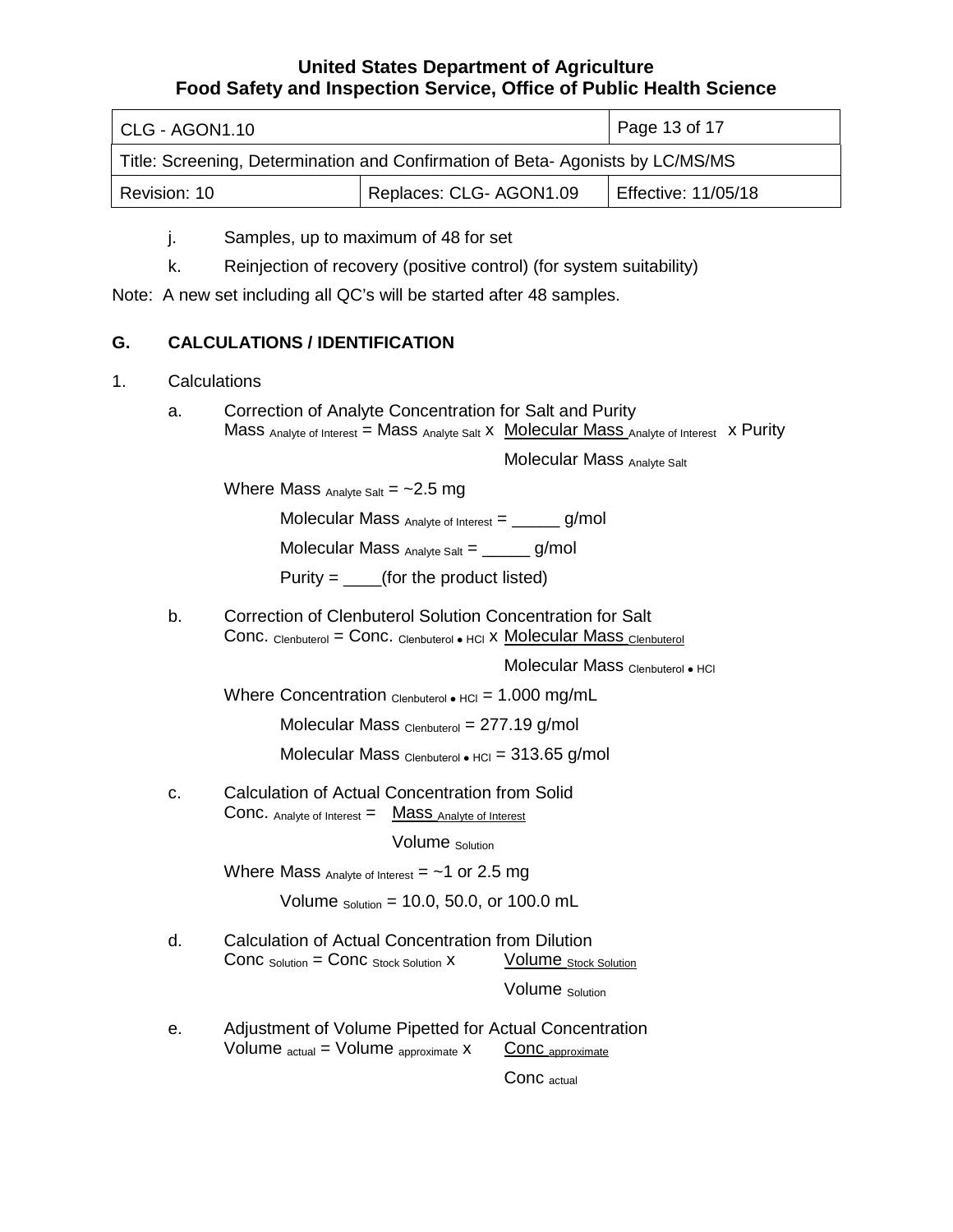| CLG - AGON1.10                                                                | Page 13 of 17          |                     |
|-------------------------------------------------------------------------------|------------------------|---------------------|
| Title: Screening, Determination and Confirmation of Beta-Agonists by LC/MS/MS |                        |                     |
| Revision: 10                                                                  | Replaces: CLG-AGON1.09 | Effective: 11/05/18 |

j. Samples, up to maximum of 48 for set

k. Reinjection of recovery (positive control) (for system suitability)

Note: A new set including all QC's will be started after 48 samples.

# **G. CALCULATIONS / IDENTIFICATION**

- 1. Calculations
	- a. Correction of Analyte Concentration for Salt and Purity Mass Analyte of Interest = Mass Analyte Salt X Molecular Mass Analyte of Interest X Purity

Molecular Mass Analyte Salt

Where Mass  $_{\text{Analyte Salt}} = -2.5 \text{ mg}$ 

Molecular Mass  $_{\text{Analyte of Interest}} =$  \_\_\_\_\_\_ g/mol

Molecular Mass  $_{Analyte Salt} =$  g/mol

Purity =  $($ for the product listed)

Conc. Clenbuterol = Conc. Clenbuterol • HCl X Molecular Mass Clenbuterol b. Correction of Clenbuterol Solution Concentration for Salt

Molecular Mass Clenbuterol • HCl

Where Concentration <sub>Clenbuterol • HCl</sub> = 1.000 mg/mL

Molecular Mass Clenbuterol = 277.19 g/mol

Molecular Mass  $_{\text{Clenbuterol}}\bullet$  HCl = 313.65 g/mol

**Conc.** Analyte of Interest  $=$  **Mass** Analyte of Interest c. Calculation of Actual Concentration from Solid

Volume Solution

Where Mass  $_{\text{Analyte of Interest}} = -1$  or 2.5 mg

Volume  $_{Solution}$  = 10.0, 50.0, or 100.0 mL

Conc  $_{\text{Solution}} = \text{Conc}_{\text{Stock Solution}} \times \text{Volume}_{\text{Stock Solution}}$ d. Calculation of Actual Concentration from Dilution

Volume Solution

Volume  $_{\text{actual}}$  = Volume  $_{\text{approximate}}$  x  $\frac{\text{Conc}_{\text{approximate}}}{\text{Conc}_{\text{approximate}}}$ e. Adjustment of Volume Pipetted for Actual Concentration<br>Volume  $_{\text{actual}}$  = Volume  $_{\text{approximate}}$  x Conc  $_{\text{approximate}}$ 

Conc actual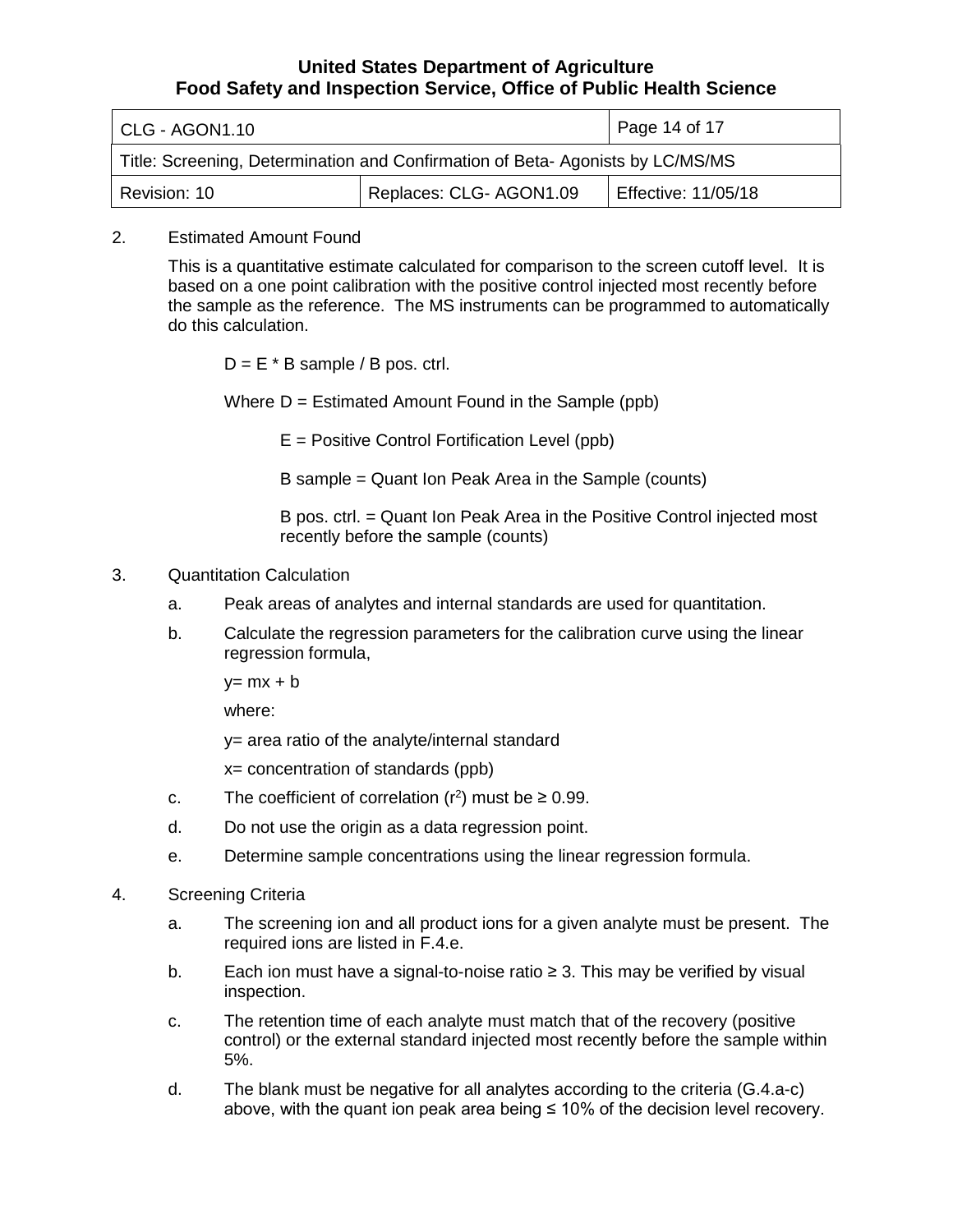| CLG - AGON1.10                                                                | Page 14 of 17           |                            |
|-------------------------------------------------------------------------------|-------------------------|----------------------------|
| Title: Screening, Determination and Confirmation of Beta-Agonists by LC/MS/MS |                         |                            |
| Revision: 10                                                                  | Replaces: CLG- AGON1.09 | <b>Effective: 11/05/18</b> |

#### 2. Estimated Amount Found

 the sample as the reference. The MS instruments can be programmed to automatically This is a quantitative estimate calculated for comparison to the screen cutoff level. It is based on a one point calibration with the positive control injected most recently before do this calculation.

 $D = E * B$  sample / B pos. ctrl.

Where  $D =$  Estimated Amount Found in the Sample (ppb)

E = Positive Control Fortification Level (ppb)

B sample = Quant Ion Peak Area in the Sample (counts)

 B pos. ctrl. = Quant Ion Peak Area in the Positive Control injected most recently before the sample (counts)

#### 3. Quantitation Calculation

- a. Peak areas of analytes and internal standards are used for quantitation.
- b. Calculate the regression parameters for the calibration curve using the linear regression formula,

 $y= mx + b$ 

where:

y= area ratio of the analyte/internal standard

x= concentration of standards (ppb)

- c. The coefficient of correlation  $(r^2)$  must be  $\geq 0.99$ .
- d. Do not use the origin as a data regression point.
- e. Determine sample concentrations using the linear regression formula.

#### 4. Screening Criteria

- a. The screening ion and all product ions for a given analyte must be present. The required ions are listed in F.4.e.
- b. Each ion must have a signal-to-noise ratio ≥ 3. This may be verified by visual inspection.
- c. The retention time of each analyte must match that of the recovery (positive control) or the external standard injected most recently before the sample within 5%.
- above, with the quant ion peak area being ≤ 10% of the decision level recovery.d. The blank must be negative for all analytes according to the criteria (G.4.a-c)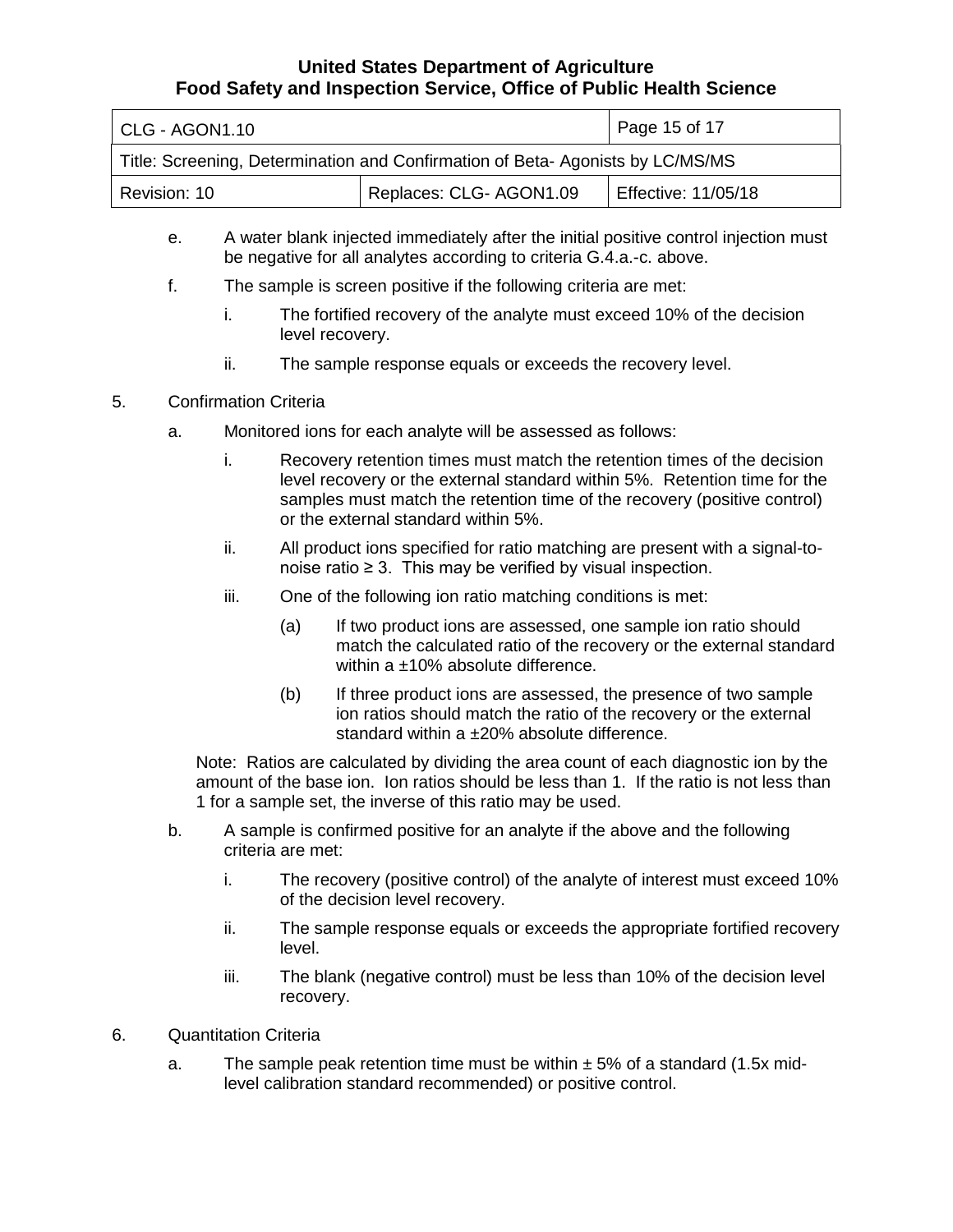| l CLG - AGON1.10                                                              | Page 15 of 17           |                            |
|-------------------------------------------------------------------------------|-------------------------|----------------------------|
| Title: Screening, Determination and Confirmation of Beta-Agonists by LC/MS/MS |                         |                            |
| Revision: 10                                                                  | Replaces: CLG- AGON1.09 | <b>Effective: 11/05/18</b> |

- e. A water blank injected immediately after the initial positive control injection must be negative for all analytes according to criteria G.4.a.-c. above.
- f. The sample is screen positive if the following criteria are met:
	- i. The fortified recovery of the analyte must exceed 10% of the decision level recovery.
	- ii. The sample response equals or exceeds the recovery level.
- 5. Confirmation Criteria
	- a. Monitored ions for each analyte will be assessed as follows:
		- level recovery or the external standard within 5%. Retention time for the i. Recovery retention times must match the retention times of the decision samples must match the retention time of the recovery (positive control) or the external standard within 5%.
		- ii. All product ions specified for ratio matching are present with a signal-to-noise ratio ≥ 3. This may be verified by visual inspection.
		- iii. One of the following ion ratio matching conditions is met:
			- (a) If two product ions are assessed, one sample ion ratio should match the calculated ratio of the recovery or the external standard within a ±10% absolute difference.
			- (b) If three product ions are assessed, the presence of two sample ion ratios should match the ratio of the recovery or the external standard within a ±20% absolute difference.

 amount of the base ion. Ion ratios should be less than 1. If the ratio is not less than 1 for a sample set, the inverse of this ratio may be used. Note: Ratios are calculated by dividing the area count of each diagnostic ion by the

- b. A sample is confirmed positive for an analyte if the above and the following criteria are met:
	- i. The recovery (positive control) of the analyte of interest must exceed 10% of the decision level recovery.
	- ii. The sample response equals or exceeds the appropriate fortified recovery level.
	- iii. The blank (negative control) must be less than 10% of the decision level recovery.
- 6. Quantitation Criteria
	- a. The sample peak retention time must be within  $\pm$  5% of a standard (1.5x midlevel calibration standard recommended) or positive control.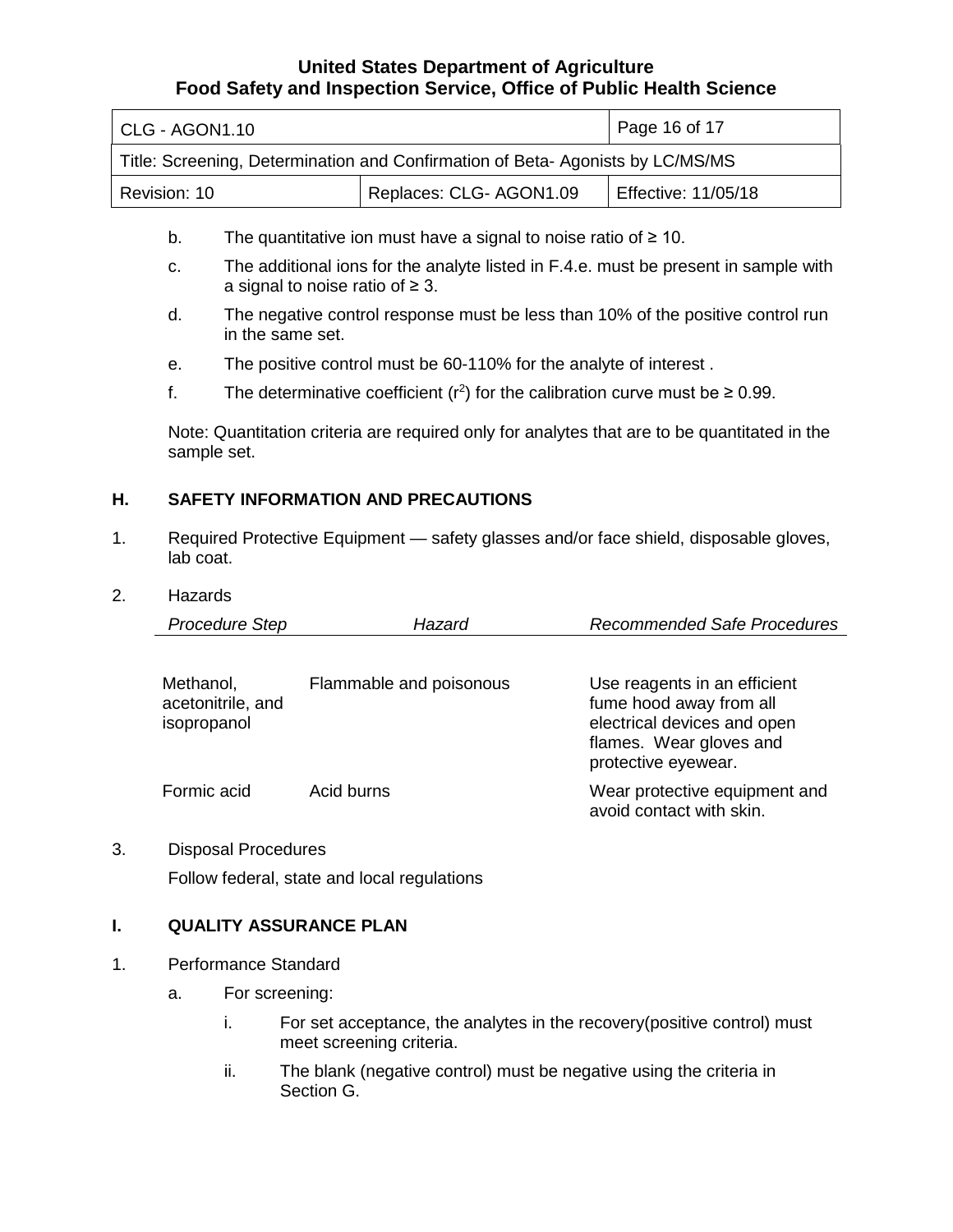| CLG - AGON1.10                                                                |                        | Page 16 of 17              |  |  |
|-------------------------------------------------------------------------------|------------------------|----------------------------|--|--|
| Title: Screening, Determination and Confirmation of Beta-Agonists by LC/MS/MS |                        |                            |  |  |
| Revision: 10                                                                  | Replaces: CLG-AGON1.09 | <b>Effective: 11/05/18</b> |  |  |

- b. The quantitative ion must have a signal to noise ratio of  $\geq 10$ .
- c. The additional ions for the analyte listed in F.4.e. must be present in sample with a signal to noise ratio of  $\geq$  3.
- d. The negative control response must be less than 10% of the positive control run in the same set.
- e. The positive control must be 60-110% for the analyte of interest .
- f. The determinative coefficient ( $r^2$ ) for the calibration curve must be  $\geq 0.99$ .

Note: Quantitation criteria are required only for analytes that are to be quantitated in the sample set.

### **H. SAFETY INFORMATION AND PRECAUTIONS**

 1. Required Protective Equipment — safety glasses and/or face shield, disposable gloves, lab coat.

#### 2. Hazards

| <b>Procedure Step</b>                         | Hazard                  | <b>Recommended Safe Procedures</b>                                                                                                       |
|-----------------------------------------------|-------------------------|------------------------------------------------------------------------------------------------------------------------------------------|
| Methanol,<br>acetonitrile, and<br>isopropanol | Flammable and poisonous | Use reagents in an efficient<br>fume hood away from all<br>electrical devices and open<br>flames. Wear gloves and<br>protective eyewear. |
| Formic acid                                   | Acid burns              | Wear protective equipment and<br>avoid contact with skin.                                                                                |

3. Disposal Procedures

Follow federal, state and local regulations

#### **I. QUALITY ASSURANCE PLAN**

- 1. Performance Standard
	- a. For screening:
		- i. For set acceptance, the analytes in the recovery(positive control) must meet screening criteria.
		- ii. The blank (negative control) must be negative using the criteria in Section G.